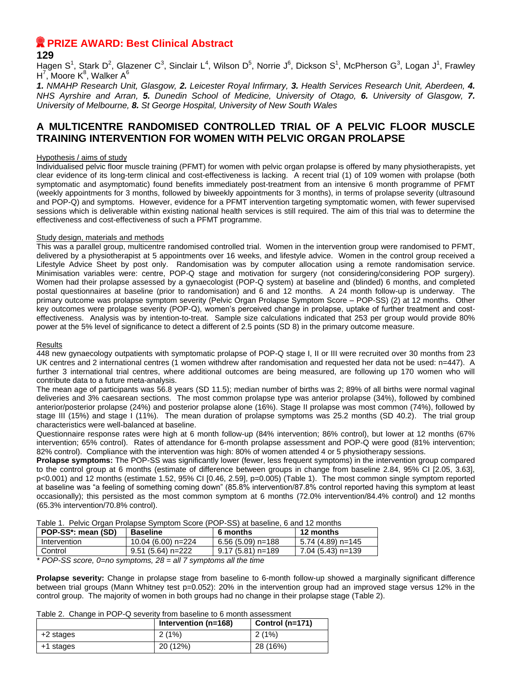# **R** PRIZE AWARD: Best Clinical Abstract

## **129**

Hagen S<sup>1</sup>, Stark D<sup>2</sup>, Glazener C<sup>3</sup>, Sinclair L<sup>4</sup>, Wilson D<sup>5</sup>, Norrie J<sup>6</sup>, Dickson S<sup>1</sup>, McPherson G<sup>3</sup>, Logan J<sup>1</sup>, Frawley H<sup>7</sup>, Moore K<sup>8</sup>, Walker A<sup>6</sup>

*1. NMAHP Research Unit, Glasgow, 2. Leicester Royal Infirmary, 3. Health Services Research Unit, Aberdeen, 4. NHS Ayrshire and Arran, 5. Dunedin School of Medicine, University of Otago, 6. University of Glasgow, 7. University of Melbourne, 8. St George Hospital, University of New South Wales*

## **A MULTICENTRE RANDOMISED CONTROLLED TRIAL OF A PELVIC FLOOR MUSCLE TRAINING INTERVENTION FOR WOMEN WITH PELVIC ORGAN PROLAPSE**

## Hypothesis / aims of study

Individualised pelvic floor muscle training (PFMT) for women with pelvic organ prolapse is offered by many physiotherapists, yet clear evidence of its long-term clinical and cost-effectiveness is lacking. A recent trial (1) of 109 women with prolapse (both symptomatic and asymptomatic) found benefits immediately post-treatment from an intensive 6 month programme of PFMT (weekly appointments for 3 months, followed by biweekly appointments for 3 months), in terms of prolapse severity (ultrasound and POP-Q) and symptoms. However, evidence for a PFMT intervention targeting symptomatic women, with fewer supervised sessions which is deliverable within existing national health services is still required. The aim of this trial was to determine the effectiveness and cost-effectiveness of such a PFMT programme.

## Study design, materials and methods

This was a parallel group, multicentre randomised controlled trial. Women in the intervention group were randomised to PFMT, delivered by a physiotherapist at 5 appointments over 16 weeks, and lifestyle advice. Women in the control group received a Lifestyle Advice Sheet by post only. Randomisation was by computer allocation using a remote randomisation service. Minimisation variables were: centre, POP-Q stage and motivation for surgery (not considering/considering POP surgery). Women had their prolapse assessed by a gynaecologist (POP-Q system) at baseline and (blinded) 6 months, and completed postal questionnaires at baseline (prior to randomisation) and 6 and 12 months. A 24 month follow-up is underway. The primary outcome was prolapse symptom severity (Pelvic Organ Prolapse Symptom Score – POP-SS) (2) at 12 months. Other key outcomes were prolapse severity (POP-Q), women's perceived change in prolapse, uptake of further treatment and costeffectiveness. Analysis was by intention-to-treat. Sample size calculations indicated that 253 per group would provide 80% power at the 5% level of significance to detect a different of 2.5 points (SD 8) in the primary outcome measure.

### Results

448 new gynaecology outpatients with symptomatic prolapse of POP-Q stage I, II or III were recruited over 30 months from 23 UK centres and 2 international centres (1 women withdrew after randomisation and requested her data not be used: n=447). A further 3 international trial centres, where additional outcomes are being measured, are following up 170 women who will contribute data to a future meta-analysis.

The mean age of participants was 56.8 years (SD 11.5); median number of births was 2; 89% of all births were normal vaginal deliveries and 3% caesarean sections. The most common prolapse type was anterior prolapse (34%), followed by combined anterior/posterior prolapse (24%) and posterior prolapse alone (16%). Stage II prolapse was most common (74%), followed by stage III (15%) and stage I (11%). The mean duration of prolapse symptoms was 25.2 months (SD 40.2). The trial group characteristics were well-balanced at baseline.

Questionnaire response rates were high at 6 month follow-up (84% intervention; 86% control), but lower at 12 months (67% intervention; 65% control). Rates of attendance for 6-month prolapse assessment and POP-Q were good (81% intervention; 82% control). Compliance with the intervention was high: 80% of women attended 4 or 5 physiotherapy sessions.

**Prolapse symptoms:** The POP-SS was significantly lower (fewer, less frequent symptoms) in the intervention group compared to the control group at 6 months (estimate of difference between groups in change from baseline 2.84, 95% CI [2.05, 3.63], p<0.001) and 12 months (estimate 1.52, 95% CI [0.46, 2.59], p=0.005) (Table 1). The most common single symptom reported at baseline was "a feeling of something coming down" (85.8% intervention/87.8% control reported having this symptom at least occasionally); this persisted as the most common symptom at 6 months (72.0% intervention/84.4% control) and 12 months (65.3% intervention/70.8% control).

|  |  |  |  |  |  | Table 1. Pelvic Organ Prolapse Symptom Score (POP-SS) at baseline, 6 and 12 months |
|--|--|--|--|--|--|------------------------------------------------------------------------------------|
|--|--|--|--|--|--|------------------------------------------------------------------------------------|

| POP-SS <sup>*</sup> : mean (SD) | <b>Baseline</b>    | 6 months          | 12 months         |
|---------------------------------|--------------------|-------------------|-------------------|
| Intervention                    | 10.04 (6.00) n=224 | 6.56 (5.09) n=188 | 5.74 (4.89) n=145 |
| Control                         | $9.51(5.64)$ n=222 | 9.17 (5.81) n=189 | 7.04 (5.43) n=139 |

*\* POP-SS score, 0=no symptoms, 28 = all 7 symptoms all the time*

**Prolapse severity:** Change in prolapse stage from baseline to 6-month follow-up showed a marginally significant difference between trial groups (Mann Whitney test p=0.052): 20% in the intervention group had an improved stage versus 12% in the control group. The majority of women in both groups had no change in their prolapse stage (Table 2).

Table 2. Change in POP-Q severity from baseline to 6 month assessment

|           | Intervention (n=168) | Control (n=171) |
|-----------|----------------------|-----------------|
| +2 stages | 2(1%)                | 2(1%)           |
| +1 stages | 20 (12%)             | 28 (16%)        |